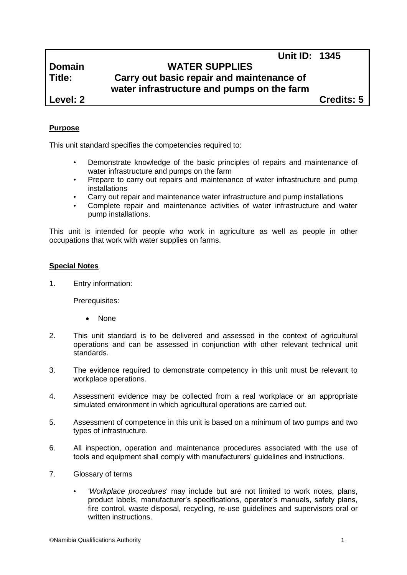# **Domain WATER SUPPLIES Title: Carry out basic repair and maintenance of water infrastructure and pumps on the farm**

**Level: 2 Credits: 5**

**Unit ID: 1345**

# **Purpose**

This unit standard specifies the competencies required to:

- Demonstrate knowledge of the basic principles of repairs and maintenance of water infrastructure and pumps on the farm
- Prepare to carry out repairs and maintenance of water infrastructure and pump installations
- Carry out repair and maintenance water infrastructure and pump installations
- Complete repair and maintenance activities of water infrastructure and water pump installations.

This unit is intended for people who work in agriculture as well as people in other occupations that work with water supplies on farms.

# **Special Notes**

1. Entry information:

Prerequisites:

- None
- 2. This unit standard is to be delivered and assessed in the context of agricultural operations and can be assessed in conjunction with other relevant technical unit standards.
- 3. The evidence required to demonstrate competency in this unit must be relevant to workplace operations.
- 4. Assessment evidence may be collected from a real workplace or an appropriate simulated environment in which agricultural operations are carried out.
- 5. Assessment of competence in this unit is based on a minimum of two pumps and two types of infrastructure.
- 6. All inspection, operation and maintenance procedures associated with the use of tools and equipment shall comply with manufacturers' guidelines and instructions.
- 7. Glossary of terms
	- *'Workplace procedures*' may include but are not limited to work notes, plans, product labels, manufacturer's specifications, operator's manuals, safety plans, fire control, waste disposal, recycling, re-use guidelines and supervisors oral or written instructions.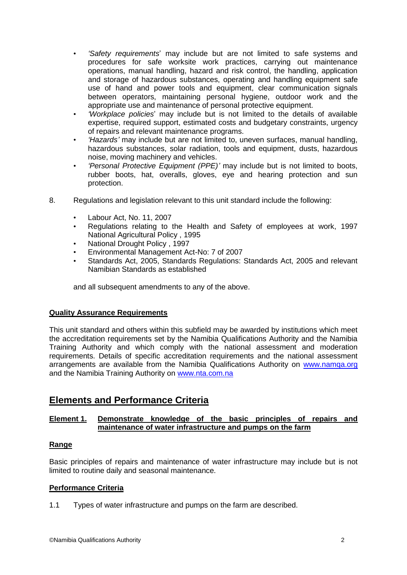- *'Safety requirements*' may include but are not limited to safe systems and procedures for safe worksite work practices, carrying out maintenance operations, manual handling, hazard and risk control, the handling, application and storage of hazardous substances, operating and handling equipment safe use of hand and power tools and equipment, clear communication signals between operators, maintaining personal hygiene, outdoor work and the appropriate use and maintenance of personal protective equipment.
- *'Workplace policies*' may include but is not limited to the details of available expertise, required support, estimated costs and budgetary constraints, urgency of repairs and relevant maintenance programs.
- *'Hazards'* may include but are not limited to, uneven surfaces, manual handling, hazardous substances, solar radiation, tools and equipment, dusts, hazardous noise, moving machinery and vehicles.
- *'Personal Protective Equipment (PPE)'* may include but is not limited to boots, rubber boots, hat, overalls, gloves, eye and hearing protection and sun protection.
- 8. Regulations and legislation relevant to this unit standard include the following:
	- Labour Act, No. 11, 2007
	- Regulations relating to the Health and Safety of employees at work, 1997 National Agricultural Policy , 1995
	- National Drought Policy , 1997
	- Environmental Management Act-No: 7 of 2007
	- Standards Act, 2005, Standards Regulations: Standards Act, 2005 and relevant Namibian Standards as established

and all subsequent amendments to any of the above.

# **Quality Assurance Requirements**

This unit standard and others within this subfield may be awarded by institutions which meet the accreditation requirements set by the Namibia Qualifications Authority and the Namibia Training Authority and which comply with the national assessment and moderation requirements. Details of specific accreditation requirements and the national assessment arrangements are available from the Namibia Qualifications Authority on [www.namqa.org](http://www.namqa.org/) and the Namibia Training Authority on [www.nta.com.na](http://www.nta.com.na/)

# **Elements and Performance Criteria**

# **Element 1. Demonstrate knowledge of the basic principles of repairs and maintenance of water infrastructure and pumps on the farm**

# **Range**

Basic principles of repairs and maintenance of water infrastructure may include but is not limited to routine daily and seasonal maintenance.

# **Performance Criteria**

1.1 Types of water infrastructure and pumps on the farm are described.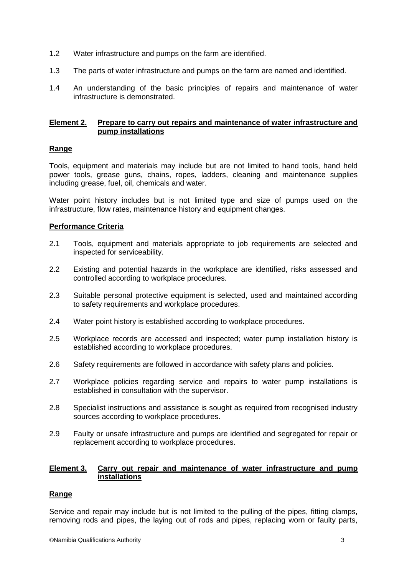- 1.2 Water infrastructure and pumps on the farm are identified.
- 1.3 The parts of water infrastructure and pumps on the farm are named and identified.
- 1.4 An understanding of the basic principles of repairs and maintenance of water infrastructure is demonstrated.

#### **Element 2. Prepare to carry out repairs and maintenance of water infrastructure and pump installations**

# **Range**

Tools, equipment and materials may include but are not limited to hand tools, hand held power tools, grease guns, chains, ropes, ladders, cleaning and maintenance supplies including grease, fuel, oil, chemicals and water.

Water point history includes but is not limited type and size of pumps used on the infrastructure, flow rates, maintenance history and equipment changes.

#### **Performance Criteria**

- 2.1 Tools, equipment and materials appropriate to job requirements are selected and inspected for serviceability.
- 2.2 Existing and potential hazards in the workplace are identified, risks assessed and controlled according to workplace procedures.
- 2.3 Suitable personal protective equipment is selected, used and maintained according to safety requirements and workplace procedures.
- 2.4 Water point history is established according to workplace procedures.
- 2.5 Workplace records are accessed and inspected; water pump installation history is established according to workplace procedures.
- 2.6 Safety requirements are followed in accordance with safety plans and policies.
- 2.7 Workplace policies regarding service and repairs to water pump installations is established in consultation with the supervisor.
- 2.8 Specialist instructions and assistance is sought as required from recognised industry sources according to workplace procedures.
- 2.9 Faulty or unsafe infrastructure and pumps are identified and segregated for repair or replacement according to workplace procedures.

#### **Element 3. Carry out repair and maintenance of water infrastructure and pump installations**

# **Range**

Service and repair may include but is not limited to the pulling of the pipes, fitting clamps, removing rods and pipes, the laying out of rods and pipes, replacing worn or faulty parts,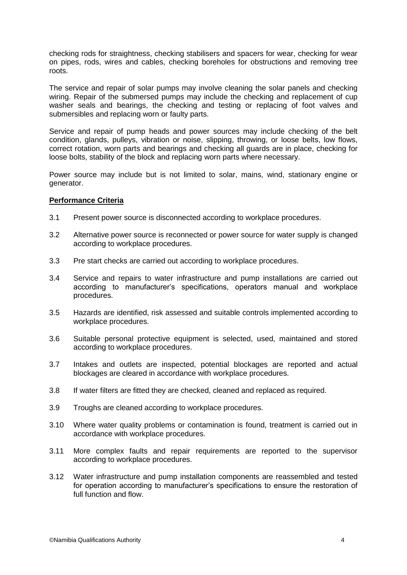checking rods for straightness, checking stabilisers and spacers for wear, checking for wear on pipes, rods, wires and cables, checking boreholes for obstructions and removing tree roots.

The service and repair of solar pumps may involve cleaning the solar panels and checking wiring. Repair of the submersed pumps may include the checking and replacement of cup washer seals and bearings, the checking and testing or replacing of foot valves and submersibles and replacing worn or faulty parts.

Service and repair of pump heads and power sources may include checking of the belt condition, glands, pulleys, vibration or noise, slipping, throwing, or loose belts, low flows, correct rotation, worn parts and bearings and checking all guards are in place, checking for loose bolts, stability of the block and replacing worn parts where necessary.

Power source may include but is not limited to solar, mains, wind, stationary engine or generator.

#### **Performance Criteria**

- 3.1 Present power source is disconnected according to workplace procedures.
- 3.2 Alternative power source is reconnected or power source for water supply is changed according to workplace procedures.
- 3.3 Pre start checks are carried out according to workplace procedures.
- 3.4 Service and repairs to water infrastructure and pump installations are carried out according to manufacturer's specifications, operators manual and workplace procedures.
- 3.5 Hazards are identified, risk assessed and suitable controls implemented according to workplace procedures.
- 3.6 Suitable personal protective equipment is selected, used, maintained and stored according to workplace procedures.
- 3.7 Intakes and outlets are inspected, potential blockages are reported and actual blockages are cleared in accordance with workplace procedures.
- 3.8 If water filters are fitted they are checked, cleaned and replaced as required.
- 3.9 Troughs are cleaned according to workplace procedures.
- 3.10 Where water quality problems or contamination is found, treatment is carried out in accordance with workplace procedures.
- 3.11 More complex faults and repair requirements are reported to the supervisor according to workplace procedures.
- 3.12 Water infrastructure and pump installation components are reassembled and tested for operation according to manufacturer's specifications to ensure the restoration of full function and flow.